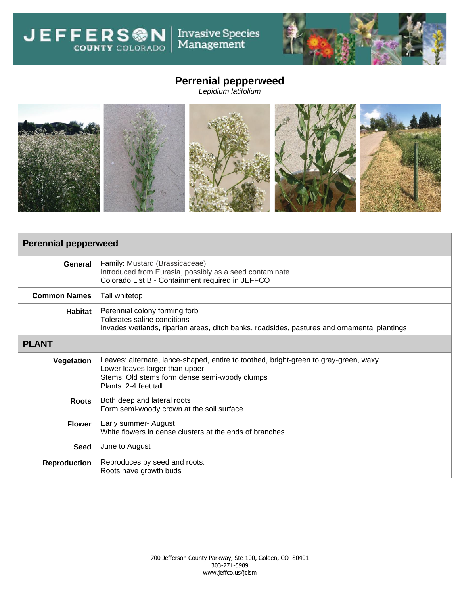Invasive Species<br>Management **JEFFERSON** 



## **Perrenial pepperweed**

*Lepidium latifolium*



| <b>Perennial pepperweed</b> |                                                                                                                                                                                                  |  |  |  |
|-----------------------------|--------------------------------------------------------------------------------------------------------------------------------------------------------------------------------------------------|--|--|--|
| General                     | Family: Mustard (Brassicaceae)<br>Introduced from Eurasia, possibly as a seed contaminate<br>Colorado List B - Containment required in JEFFCO                                                    |  |  |  |
| <b>Common Names</b>         | Tall whitetop                                                                                                                                                                                    |  |  |  |
| Habitat                     | Perennial colony forming forb<br>Tolerates saline conditions<br>Invades wetlands, riparian areas, ditch banks, roadsides, pastures and ornamental plantings                                      |  |  |  |
| <b>PLANT</b>                |                                                                                                                                                                                                  |  |  |  |
| Vegetation                  | Leaves: alternate, lance-shaped, entire to toothed, bright-green to gray-green, waxy<br>Lower leaves larger than upper<br>Stems: Old stems form dense semi-woody clumps<br>Plants: 2-4 feet tall |  |  |  |
| <b>Roots</b>                | Both deep and lateral roots<br>Form semi-woody crown at the soil surface                                                                                                                         |  |  |  |
| <b>Flower</b>               | Early summer- August<br>White flowers in dense clusters at the ends of branches                                                                                                                  |  |  |  |
| <b>Seed</b>                 | June to August                                                                                                                                                                                   |  |  |  |
| <b>Reproduction</b>         | Reproduces by seed and roots.<br>Roots have growth buds                                                                                                                                          |  |  |  |